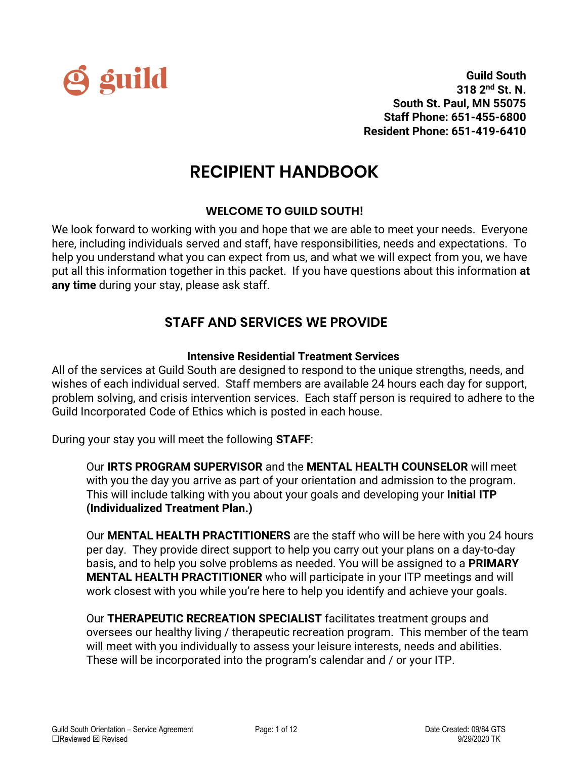

# **RECIPIENT HANDBOOK**

# **WELCOME TO GUILD SOUTH!**

We look forward to working with you and hope that we are able to meet your needs. Everyone here, including individuals served and staff, have responsibilities, needs and expectations. To help you understand what you can expect from us, and what we will expect from you, we have put all this information together in this packet. If you have questions about this information **at any time** during your stay, please ask staff.

# **STAFF AND SERVICES WE PROVIDE**

# **Intensive Residential Treatment Services**

All of the services at Guild South are designed to respond to the unique strengths, needs, and wishes of each individual served. Staff members are available 24 hours each day for support, problem solving, and crisis intervention services. Each staff person is required to adhere to the Guild Incorporated Code of Ethics which is posted in each house.

During your stay you will meet the following **STAFF**:

Our **IRTS PROGRAM SUPERVISOR** and the **MENTAL HEALTH COUNSELOR** will meet with you the day you arrive as part of your orientation and admission to the program. This will include talking with you about your goals and developing your **Initial ITP (Individualized Treatment Plan.)** 

Our **MENTAL HEALTH PRACTITIONERS** are the staff who will be here with you 24 hours per day. They provide direct support to help you carry out your plans on a day-to-day basis, and to help you solve problems as needed. You will be assigned to a **PRIMARY MENTAL HEALTH PRACTITIONER** who will participate in your ITP meetings and will work closest with you while you're here to help you identify and achieve your goals.

Our **THERAPEUTIC RECREATION SPECIALIST** facilitates treatment groups and oversees our healthy living / therapeutic recreation program. This member of the team will meet with you individually to assess your leisure interests, needs and abilities. These will be incorporated into the program's calendar and / or your ITP.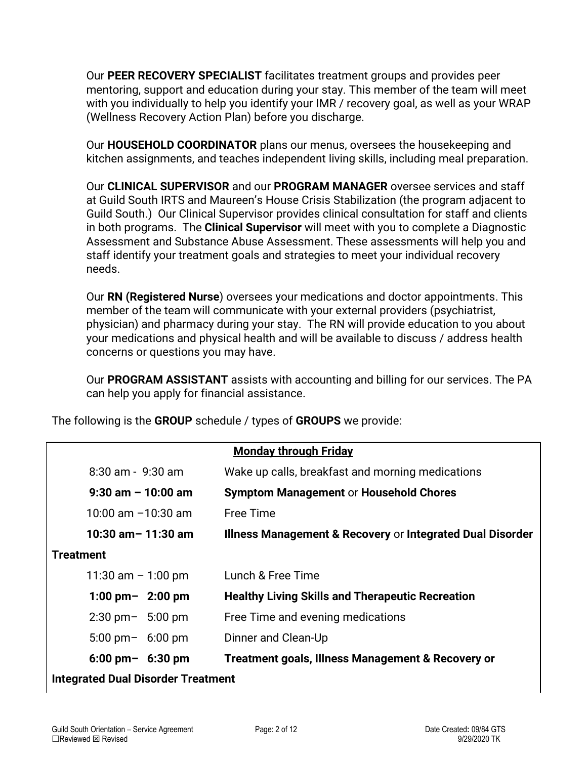Our **PEER RECOVERY SPECIALIST** facilitates treatment groups and provides peer mentoring, support and education during your stay. This member of the team will meet with you individually to help you identify your IMR / recovery goal, as well as your WRAP (Wellness Recovery Action Plan) before you discharge.

Our **HOUSEHOLD COORDINATOR** plans our menus, oversees the housekeeping and kitchen assignments, and teaches independent living skills, including meal preparation.

Our **CLINICAL SUPERVISOR** and our **PROGRAM MANAGER** oversee services and staff at Guild South IRTS and Maureen's House Crisis Stabilization (the program adjacent to Guild South.) Our Clinical Supervisor provides clinical consultation for staff and clients in both programs. The **Clinical Supervisor** will meet with you to complete a Diagnostic Assessment and Substance Abuse Assessment. These assessments will help you and staff identify your treatment goals and strategies to meet your individual recovery needs.

Our **RN (Registered Nurse**) oversees your medications and doctor appointments. This member of the team will communicate with your external providers (psychiatrist, physician) and pharmacy during your stay. The RN will provide education to you about your medications and physical health and will be available to discuss / address health concerns or questions you may have.

Our **PROGRAM ASSISTANT** assists with accounting and billing for our services. The PA can help you apply for financial assistance.

The following is the **GROUP** schedule / types of **GROUPS** we provide:

| <b>Monday through Friday</b>              |                                                              |  |
|-------------------------------------------|--------------------------------------------------------------|--|
| $8:30$ am - $9:30$ am                     | Wake up calls, breakfast and morning medications             |  |
| $9:30$ am $-10:00$ am                     | <b>Symptom Management or Household Chores</b>                |  |
| 10:00 am $-10:30$ am                      | <b>Free Time</b>                                             |  |
| 10:30 am $-$ 11:30 am                     | Illness Management & Recovery or Integrated Dual Disorder    |  |
| <b>Treatment</b>                          |                                                              |  |
| 11:30 am $-$ 1:00 pm                      | Lunch & Free Time                                            |  |
| 1:00 pm $-$ 2:00 pm                       | <b>Healthy Living Skills and Therapeutic Recreation</b>      |  |
| $2:30 \text{ pm} - 5:00 \text{ pm}$       | Free Time and evening medications                            |  |
| $5:00 \text{ pm} - 6:00 \text{ pm}$       | Dinner and Clean-Up                                          |  |
| $6:00 \text{ pm} - 6:30 \text{ pm}$       | <b>Treatment goals, Illness Management &amp; Recovery or</b> |  |
| <b>Integrated Dual Disorder Treatment</b> |                                                              |  |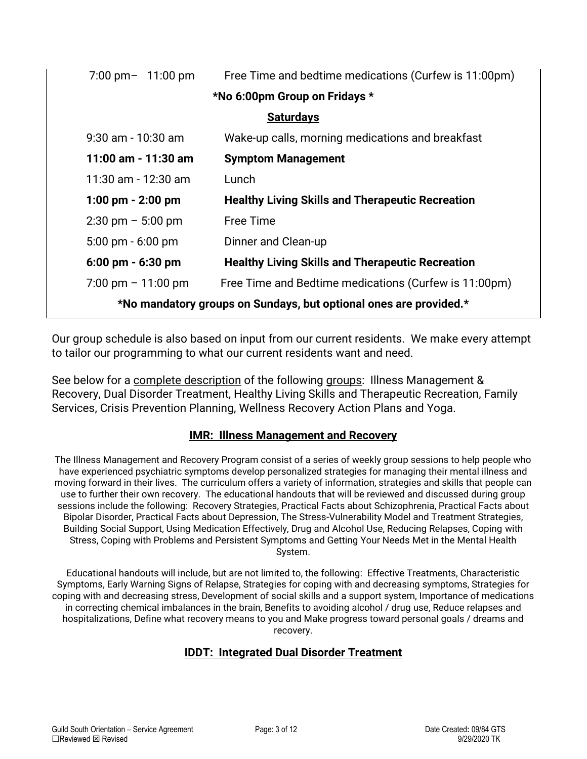| $7:00 \text{ pm} - 11:00 \text{ pm}$                              | Free Time and bedtime medications (Curfew is 11:00pm)   |  |
|-------------------------------------------------------------------|---------------------------------------------------------|--|
| *No 6:00pm Group on Fridays *                                     |                                                         |  |
| <b>Saturdays</b>                                                  |                                                         |  |
| $9:30$ am - 10:30 am                                              | Wake-up calls, morning medications and breakfast        |  |
| 11:00 am - 11:30 am                                               | <b>Symptom Management</b>                               |  |
| 11:30 am - 12:30 am                                               | Lunch                                                   |  |
| $1:00 \text{ pm} - 2:00 \text{ pm}$                               | <b>Healthy Living Skills and Therapeutic Recreation</b> |  |
| $2:30 \text{ pm} - 5:00 \text{ pm}$                               | <b>Free Time</b>                                        |  |
| $5:00 \text{ pm} - 6:00 \text{ pm}$                               | Dinner and Clean-up                                     |  |
| $6:00 \text{ pm} - 6:30 \text{ pm}$                               | <b>Healthy Living Skills and Therapeutic Recreation</b> |  |
| $7:00 \text{ pm} - 11:00 \text{ pm}$                              | Free Time and Bedtime medications (Curfew is 11:00pm)   |  |
| *No mandatory groups on Sundays, but optional ones are provided.* |                                                         |  |

Our group schedule is also based on input from our current residents. We make every attempt to tailor our programming to what our current residents want and need.

See below for a complete description of the following groups: Illness Management & Recovery, Dual Disorder Treatment, Healthy Living Skills and Therapeutic Recreation, Family Services, Crisis Prevention Planning, Wellness Recovery Action Plans and Yoga.

#### **IMR: Illness Management and Recovery**

The Illness Management and Recovery Program consist of a series of weekly group sessions to help people who have experienced psychiatric symptoms develop personalized strategies for managing their mental illness and moving forward in their lives. The curriculum offers a variety of information, strategies and skills that people can use to further their own recovery. The educational handouts that will be reviewed and discussed during group sessions include the following: Recovery Strategies, Practical Facts about Schizophrenia, Practical Facts about Bipolar Disorder, Practical Facts about Depression, The Stress-Vulnerability Model and Treatment Strategies, Building Social Support, Using Medication Effectively, Drug and Alcohol Use, Reducing Relapses, Coping with Stress, Coping with Problems and Persistent Symptoms and Getting Your Needs Met in the Mental Health System.

Educational handouts will include, but are not limited to, the following: Effective Treatments, Characteristic Symptoms, Early Warning Signs of Relapse, Strategies for coping with and decreasing symptoms, Strategies for coping with and decreasing stress, Development of social skills and a support system, Importance of medications in correcting chemical imbalances in the brain, Benefits to avoiding alcohol / drug use, Reduce relapses and hospitalizations, Define what recovery means to you and Make progress toward personal goals / dreams and recovery.

#### **IDDT: Integrated Dual Disorder Treatment**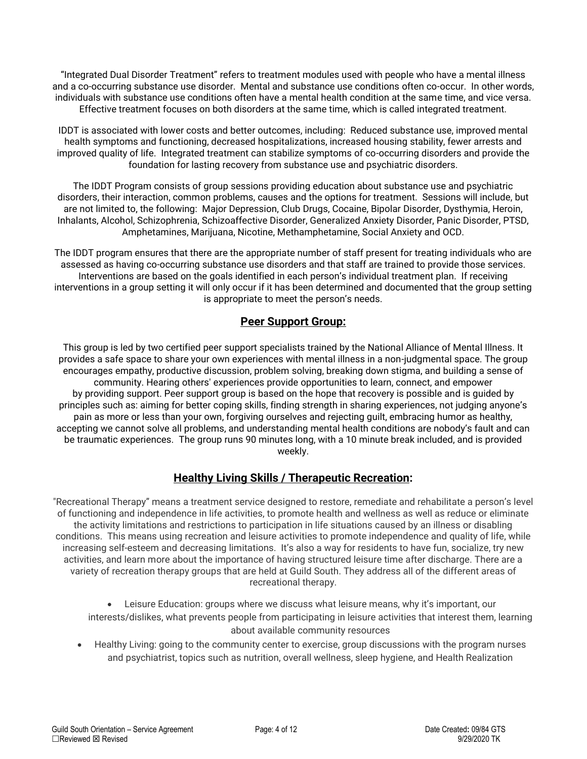"Integrated Dual Disorder Treatment" refers to treatment modules used with people who have a mental illness and a co-occurring substance use disorder. Mental and substance use conditions often co-occur. In other words, individuals with substance use conditions often have a mental health condition at the same time, and vice versa. Effective treatment focuses on both disorders at the same time, which is called integrated treatment.

IDDT is associated with lower costs and better outcomes, including: Reduced substance use, improved mental health symptoms and functioning, decreased hospitalizations, increased housing stability, fewer arrests and improved quality of life. Integrated treatment can stabilize symptoms of co-occurring disorders and provide the foundation for lasting recovery from substance use and psychiatric disorders.

The IDDT Program consists of group sessions providing education about substance use and psychiatric disorders, their interaction, common problems, causes and the options for treatment. Sessions will include, but are not limited to, the following: Major Depression, Club Drugs, Cocaine, Bipolar Disorder, Dysthymia, Heroin, Inhalants, Alcohol, Schizophrenia, Schizoaffective Disorder, Generalized Anxiety Disorder, Panic Disorder, PTSD, Amphetamines, Marijuana, Nicotine, Methamphetamine, Social Anxiety and OCD.

The IDDT program ensures that there are the appropriate number of staff present for treating individuals who are assessed as having co-occurring substance use disorders and that staff are trained to provide those services. Interventions are based on the goals identified in each person's individual treatment plan. If receiving interventions in a group setting it will only occur if it has been determined and documented that the group setting is appropriate to meet the person's needs.

#### **Peer Support Group:**

This group is led by two certified peer support specialists trained by the National Alliance of Mental Illness. It provides a safe space to share your own experiences with mental illness in a non-judgmental space. The group encourages empathy, productive discussion, problem solving, breaking down stigma, and building a sense of community. Hearing others' experiences provide opportunities to learn, connect, and empower by providing support. Peer support group is based on the hope that recovery is possible and is guided by principles such as: aiming for better coping skills, finding strength in sharing experiences, not judging anyone's pain as more or less than your own, forgiving ourselves and rejecting guilt, embracing humor as healthy, accepting we cannot solve all problems, and understanding mental health conditions are nobody's fault and can be traumatic experiences. The group runs 90 minutes long, with a 10 minute break included, and is provided weekly.

#### **Healthy Living Skills / Therapeutic Recreation:**

"Recreational Therapy" means a treatment service designed to restore, remediate and rehabilitate a person's level of functioning and independence in life activities, to promote health and wellness as well as reduce or eliminate the activity limitations and restrictions to participation in life situations caused by an illness or disabling conditions. This means using recreation and leisure activities to promote independence and quality of life, while increasing self-esteem and decreasing limitations. It's also a way for residents to have fun, socialize, try new activities, and learn more about the importance of having structured leisure time after discharge. There are a variety of recreation therapy groups that are held at Guild South. They address all of the different areas of recreational therapy.

• Leisure Education: groups where we discuss what leisure means, why it's important, our interests/dislikes, what prevents people from participating in leisure activities that interest them, learning about available community resources

• Healthy Living: going to the community center to exercise, group discussions with the program nurses and psychiatrist, topics such as nutrition, overall wellness, sleep hygiene, and Health Realization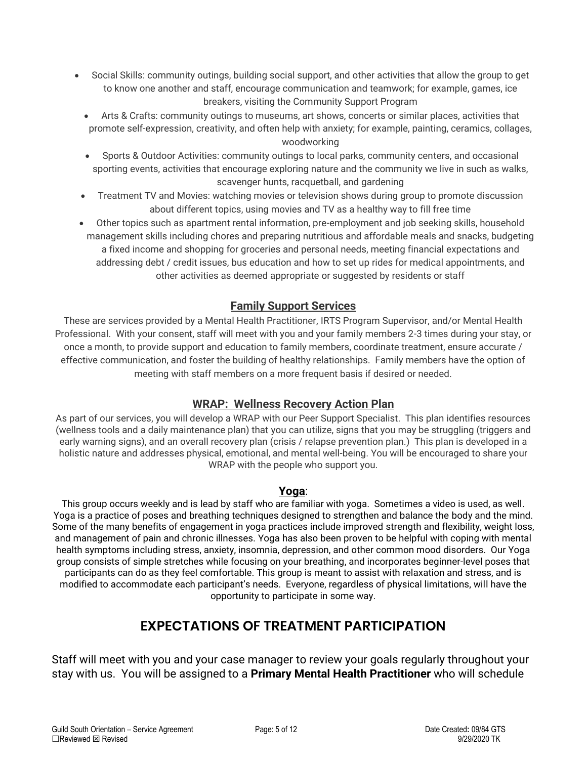- Social Skills: community outings, building social support, and other activities that allow the group to get to know one another and staff, encourage communication and teamwork; for example, games, ice breakers, visiting the Community Support Program
	- Arts & Crafts: community outings to museums, art shows, concerts or similar places, activities that promote self-expression, creativity, and often help with anxiety; for example, painting, ceramics, collages, woodworking
	- Sports & Outdoor Activities: community outings to local parks, community centers, and occasional sporting events, activities that encourage exploring nature and the community we live in such as walks, scavenger hunts, racquetball, and gardening
	- Treatment TV and Movies: watching movies or television shows during group to promote discussion about different topics, using movies and TV as a healthy way to fill free time
	- Other topics such as apartment rental information, pre-employment and job seeking skills, household management skills including chores and preparing nutritious and affordable meals and snacks, budgeting a fixed income and shopping for groceries and personal needs, meeting financial expectations and addressing debt / credit issues, bus education and how to set up rides for medical appointments, and other activities as deemed appropriate or suggested by residents or staff

#### **Family Support Services**

These are services provided by a Mental Health Practitioner, IRTS Program Supervisor, and/or Mental Health Professional. With your consent, staff will meet with you and your family members 2-3 times during your stay, or once a month, to provide support and education to family members, coordinate treatment, ensure accurate / effective communication, and foster the building of healthy relationships. Family members have the option of meeting with staff members on a more frequent basis if desired or needed.

#### **WRAP: Wellness Recovery Action Plan**

As part of our services, you will develop a WRAP with our Peer Support Specialist. This plan identifies resources (wellness tools and a daily maintenance plan) that you can utilize, signs that you may be struggling (triggers and early warning signs), and an overall recovery plan (crisis / relapse prevention plan.) This plan is developed in a holistic nature and addresses physical, emotional, and mental well-being. You will be encouraged to share your WRAP with the people who support you.

#### **Yoga**:

This group occurs weekly and is lead by staff who are familiar with yoga. Sometimes a video is used, as well. Yoga is a practice of poses and breathing techniques designed to strengthen and balance the body and the mind. Some of the many benefits of engagement in yoga practices include improved strength and flexibility, weight loss, and management of pain and chronic illnesses. Yoga has also been proven to be helpful with coping with mental health symptoms including stress, anxiety, insomnia, depression, and other common mood disorders. Our Yoga group consists of simple stretches while focusing on your breathing, and incorporates beginner-level poses that participants can do as they feel comfortable. This group is meant to assist with relaxation and stress, and is modified to accommodate each participant's needs. Everyone, regardless of physical limitations, will have the opportunity to participate in some way.

# **EXPECTATIONS OF TREATMENT PARTICIPATION**

Staff will meet with you and your case manager to review your goals regularly throughout your stay with us. You will be assigned to a **Primary Mental Health Practitioner** who will schedule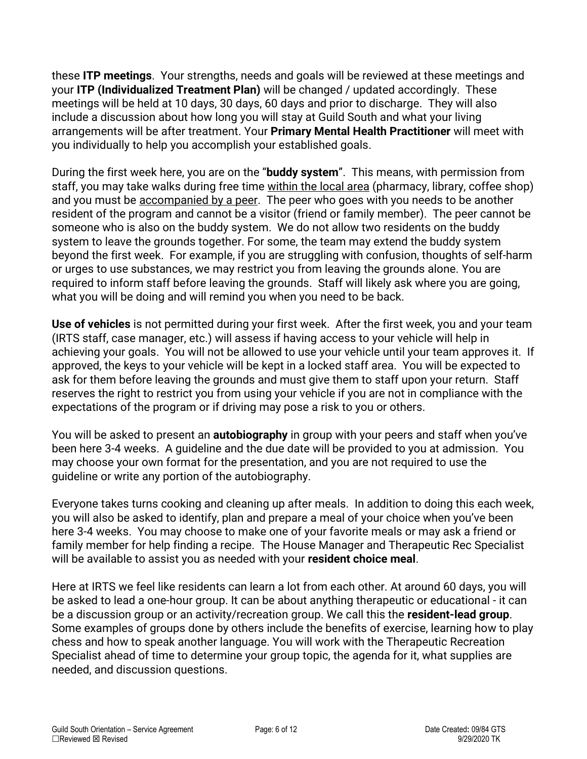these **ITP meetings**. Your strengths, needs and goals will be reviewed at these meetings and your **ITP (Individualized Treatment Plan)** will be changed / updated accordingly. These meetings will be held at 10 days, 30 days, 60 days and prior to discharge. They will also include a discussion about how long you will stay at Guild South and what your living arrangements will be after treatment. Your **Primary Mental Health Practitioner** will meet with you individually to help you accomplish your established goals.

During the first week here, you are on the "**buddy system**". This means, with permission from staff, you may take walks during free time within the local area (pharmacy, library, coffee shop) and you must be accompanied by a peer. The peer who goes with you needs to be another resident of the program and cannot be a visitor (friend or family member). The peer cannot be someone who is also on the buddy system. We do not allow two residents on the buddy system to leave the grounds together. For some, the team may extend the buddy system beyond the first week. For example, if you are struggling with confusion, thoughts of self-harm or urges to use substances, we may restrict you from leaving the grounds alone. You are required to inform staff before leaving the grounds. Staff will likely ask where you are going, what you will be doing and will remind you when you need to be back.

**Use of vehicles** is not permitted during your first week. After the first week, you and your team (IRTS staff, case manager, etc.) will assess if having access to your vehicle will help in achieving your goals. You will not be allowed to use your vehicle until your team approves it. If approved, the keys to your vehicle will be kept in a locked staff area. You will be expected to ask for them before leaving the grounds and must give them to staff upon your return. Staff reserves the right to restrict you from using your vehicle if you are not in compliance with the expectations of the program or if driving may pose a risk to you or others.

You will be asked to present an **autobiography** in group with your peers and staff when you've been here 3-4 weeks. A guideline and the due date will be provided to you at admission. You may choose your own format for the presentation, and you are not required to use the guideline or write any portion of the autobiography.

Everyone takes turns cooking and cleaning up after meals. In addition to doing this each week, you will also be asked to identify, plan and prepare a meal of your choice when you've been here 3-4 weeks. You may choose to make one of your favorite meals or may ask a friend or family member for help finding a recipe. The House Manager and Therapeutic Rec Specialist will be available to assist you as needed with your **resident choice meal**.

Here at IRTS we feel like residents can learn a lot from each other. At around 60 days, you will be asked to lead a one-hour group. It can be about anything therapeutic or educational - it can be a discussion group or an activity/recreation group. We call this the **resident-lead group**. Some examples of groups done by others include the benefits of exercise, learning how to play chess and how to speak another language. You will work with the Therapeutic Recreation Specialist ahead of time to determine your group topic, the agenda for it, what supplies are needed, and discussion questions.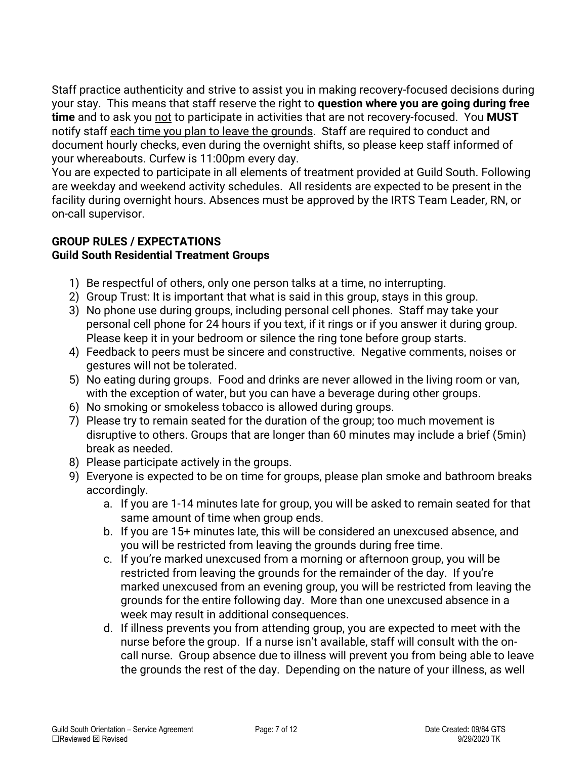Staff practice authenticity and strive to assist you in making recovery-focused decisions during your stay. This means that staff reserve the right to **question where you are going during free time** and to ask you not to participate in activities that are not recovery-focused. You **MUST** notify staff each time you plan to leave the grounds. Staff are required to conduct and document hourly checks, even during the overnight shifts, so please keep staff informed of your whereabouts. Curfew is 11:00pm every day.

You are expected to participate in all elements of treatment provided at Guild South. Following are weekday and weekend activity schedules. All residents are expected to be present in the facility during overnight hours. Absences must be approved by the IRTS Team Leader, RN, or on-call supervisor.

#### **GROUP RULES / EXPECTATIONS Guild South Residential Treatment Groups**

- 1) Be respectful of others, only one person talks at a time, no interrupting.
- 2) Group Trust: It is important that what is said in this group, stays in this group.
- 3) No phone use during groups, including personal cell phones. Staff may take your personal cell phone for 24 hours if you text, if it rings or if you answer it during group. Please keep it in your bedroom or silence the ring tone before group starts.
- 4) Feedback to peers must be sincere and constructive. Negative comments, noises or gestures will not be tolerated.
- 5) No eating during groups. Food and drinks are never allowed in the living room or van, with the exception of water, but you can have a beverage during other groups.
- 6) No smoking or smokeless tobacco is allowed during groups.
- 7) Please try to remain seated for the duration of the group; too much movement is disruptive to others. Groups that are longer than 60 minutes may include a brief (5min) break as needed.
- 8) Please participate actively in the groups.
- 9) Everyone is expected to be on time for groups, please plan smoke and bathroom breaks accordingly.
	- a. If you are 1-14 minutes late for group, you will be asked to remain seated for that same amount of time when group ends.
	- b. If you are 15+ minutes late, this will be considered an unexcused absence, and you will be restricted from leaving the grounds during free time.
	- c. If you're marked unexcused from a morning or afternoon group, you will be restricted from leaving the grounds for the remainder of the day. If you're marked unexcused from an evening group, you will be restricted from leaving the grounds for the entire following day. More than one unexcused absence in a week may result in additional consequences.
	- d. If illness prevents you from attending group, you are expected to meet with the nurse before the group. If a nurse isn't available, staff will consult with the oncall nurse. Group absence due to illness will prevent you from being able to leave the grounds the rest of the day. Depending on the nature of your illness, as well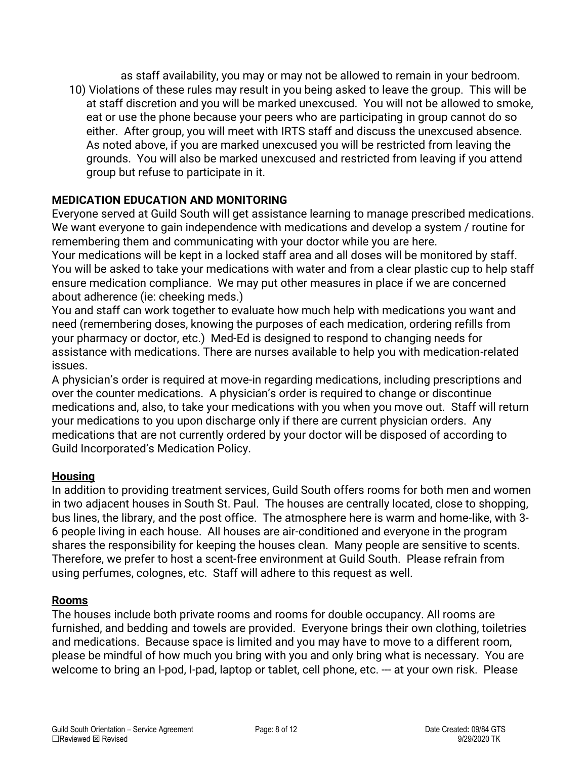as staff availability, you may or may not be allowed to remain in your bedroom. 10) Violations of these rules may result in you being asked to leave the group. This will be at staff discretion and you will be marked unexcused. You will not be allowed to smoke, eat or use the phone because your peers who are participating in group cannot do so either. After group, you will meet with IRTS staff and discuss the unexcused absence. As noted above, if you are marked unexcused you will be restricted from leaving the grounds. You will also be marked unexcused and restricted from leaving if you attend group but refuse to participate in it.

# **MEDICATION EDUCATION AND MONITORING**

Everyone served at Guild South will get assistance learning to manage prescribed medications. We want everyone to gain independence with medications and develop a system / routine for remembering them and communicating with your doctor while you are here.

Your medications will be kept in a locked staff area and all doses will be monitored by staff. You will be asked to take your medications with water and from a clear plastic cup to help staff ensure medication compliance. We may put other measures in place if we are concerned about adherence (ie: cheeking meds.)

You and staff can work together to evaluate how much help with medications you want and need (remembering doses, knowing the purposes of each medication, ordering refills from your pharmacy or doctor, etc.) Med-Ed is designed to respond to changing needs for assistance with medications. There are nurses available to help you with medication-related issues.

A physician's order is required at move-in regarding medications, including prescriptions and over the counter medications. A physician's order is required to change or discontinue medications and, also, to take your medications with you when you move out. Staff will return your medications to you upon discharge only if there are current physician orders. Any medications that are not currently ordered by your doctor will be disposed of according to Guild Incorporated's Medication Policy.

#### **Housing**

In addition to providing treatment services, Guild South offers rooms for both men and women in two adjacent houses in South St. Paul. The houses are centrally located, close to shopping, bus lines, the library, and the post office. The atmosphere here is warm and home-like, with 3- 6 people living in each house. All houses are air-conditioned and everyone in the program shares the responsibility for keeping the houses clean. Many people are sensitive to scents. Therefore, we prefer to host a scent-free environment at Guild South. Please refrain from using perfumes, colognes, etc. Staff will adhere to this request as well.

#### **Rooms**

The houses include both private rooms and rooms for double occupancy. All rooms are furnished, and bedding and towels are provided. Everyone brings their own clothing, toiletries and medications. Because space is limited and you may have to move to a different room, please be mindful of how much you bring with you and only bring what is necessary. You are welcome to bring an I-pod, I-pad, laptop or tablet, cell phone, etc. --- at your own risk. Please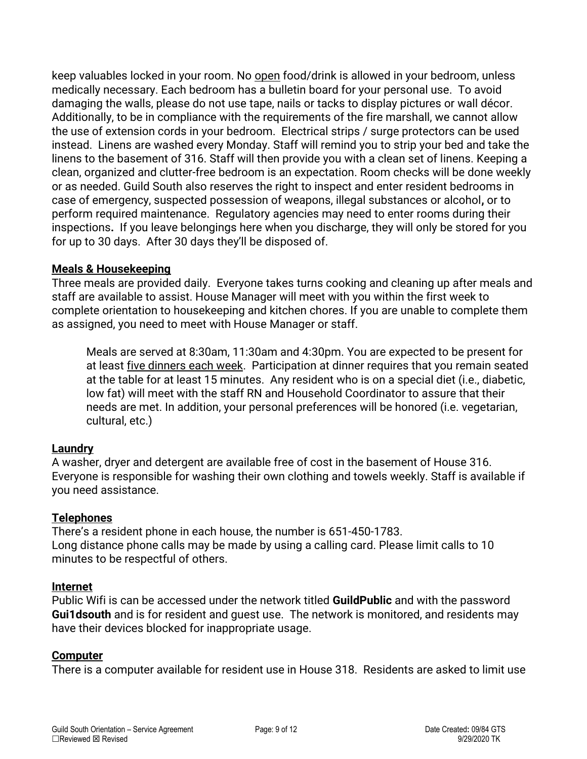keep valuables locked in your room. No open food/drink is allowed in your bedroom, unless medically necessary. Each bedroom has a bulletin board for your personal use. To avoid damaging the walls, please do not use tape, nails or tacks to display pictures or wall décor. Additionally, to be in compliance with the requirements of the fire marshall, we cannot allow the use of extension cords in your bedroom. Electrical strips / surge protectors can be used instead. Linens are washed every Monday. Staff will remind you to strip your bed and take the linens to the basement of 316. Staff will then provide you with a clean set of linens. Keeping a clean, organized and clutter-free bedroom is an expectation. Room checks will be done weekly or as needed. Guild South also reserves the right to inspect and enter resident bedrooms in case of emergency, suspected possession of weapons, illegal substances or alcohol**,** or to perform required maintenance. Regulatory agencies may need to enter rooms during their inspections**.** If you leave belongings here when you discharge, they will only be stored for you for up to 30 days. After 30 days they'll be disposed of.

#### **Meals & Housekeeping**

Three meals are provided daily. Everyone takes turns cooking and cleaning up after meals and staff are available to assist. House Manager will meet with you within the first week to complete orientation to housekeeping and kitchen chores. If you are unable to complete them as assigned, you need to meet with House Manager or staff.

Meals are served at 8:30am, 11:30am and 4:30pm. You are expected to be present for at least five dinners each week. Participation at dinner requires that you remain seated at the table for at least 15 minutes. Any resident who is on a special diet (i.e., diabetic, low fat) will meet with the staff RN and Household Coordinator to assure that their needs are met. In addition, your personal preferences will be honored (i.e. vegetarian, cultural, etc.)

#### **Laundry**

A washer, dryer and detergent are available free of cost in the basement of House 316. Everyone is responsible for washing their own clothing and towels weekly. Staff is available if you need assistance.

#### **Telephones**

There's a resident phone in each house, the number is 651-450-1783. Long distance phone calls may be made by using a calling card. Please limit calls to 10 minutes to be respectful of others.

#### **Internet**

Public Wifi is can be accessed under the network titled **GuildPublic** and with the password **Gui1dsouth** and is for resident and guest use. The network is monitored, and residents may have their devices blocked for inappropriate usage.

#### **Computer**

There is a computer available for resident use in House 318. Residents are asked to limit use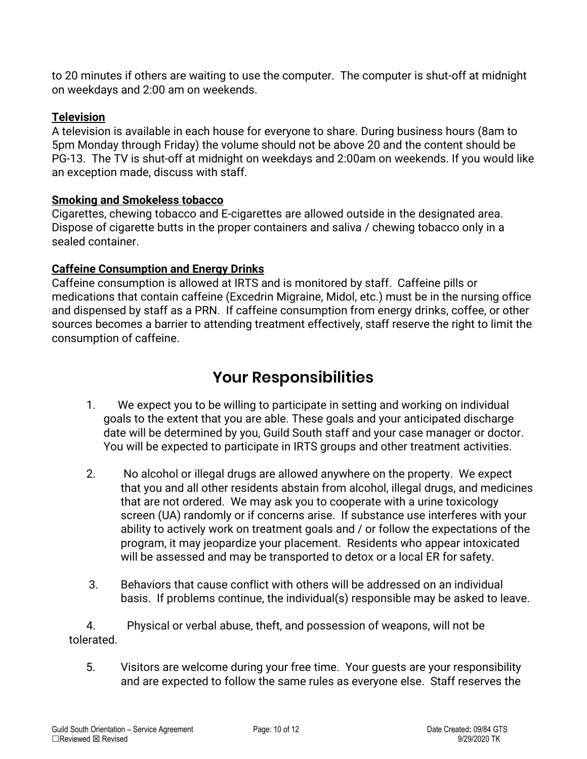to 20 minutes if others are waiting to use the computer. The computer is shut-off at midnight on weekdays and 2:00 am on weekends.

### **Television**

A television is available in each house for everyone to share. During business hours (8am to 5pm Monday through Friday) the volume should not be above 20 and the content should be PG-13. The TV is shut-off at midnight on weekdays and 2:00am on weekends. If you would like an exception made, discuss with staff.

#### **Smoking and Smokeless tobacco**

Cigarettes, chewing tobacco and E-cigarettes are allowed outside in the designated area. Dispose of cigarette butts in the proper containers and saliva / chewing tobacco only in a sealed container.

# **Caffeine Consumption and Energy Drinks**

Caffeine consumption is allowed at IRTS and is monitored by staff. Caffeine pills or medications that contain caffeine (Excedrin Migraine, Midol, etc.) must be in the nursing office and dispensed by staff as a PRN. If caffeine consumption from energy drinks, coffee, or other sources becomes a barrier to attending treatment effectively, staff reserve the right to limit the consumption of caffeine.

# **Your Responsibilities**

- 1. We expect you to be willing to participate in setting and working on individual goals to the extent that you are able. These goals and your anticipated discharge date will be determined by you, Guild South staff and your case manager or doctor. You will be expected to participate in IRTS groups and other treatment activities.
- 2. No alcohol or illegal drugs are allowed anywhere on the property. We expect that you and all other residents abstain from alcohol, illegal drugs, and medicines that are not ordered. We may ask you to cooperate with a urine toxicology screen (UA) randomly or if concerns arise. If substance use interferes with your ability to actively work on treatment goals and / or follow the expectations of the program, it may jeopardize your placement. Residents who appear intoxicated will be assessed and may be transported to detox or a local ER for safety.
- 3. Behaviors that cause conflict with others will be addressed on an individual basis. If problems continue, the individual(s) responsible may be asked to leave.

 4. Physical or verbal abuse, theft, and possession of weapons, will not be tolerated.

 5. Visitors are welcome during your free time. Your guests are your responsibility and are expected to follow the same rules as everyone else. Staff reserves the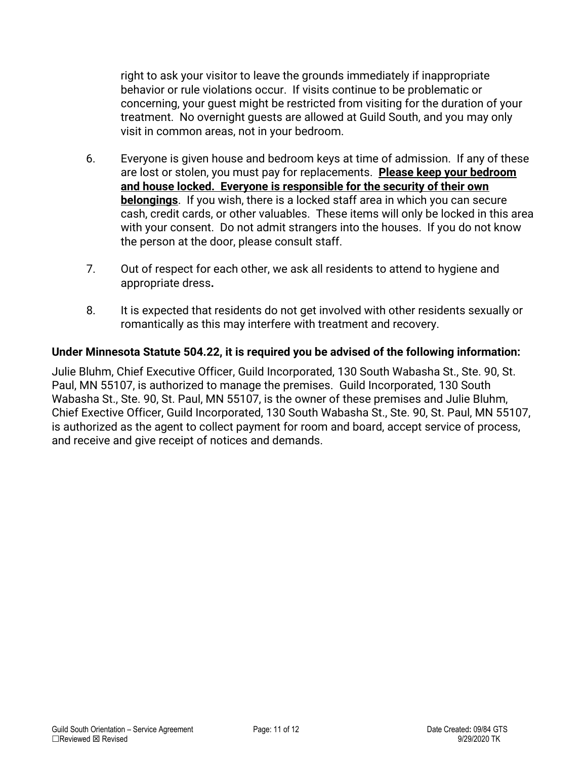right to ask your visitor to leave the grounds immediately if inappropriate behavior or rule violations occur. If visits continue to be problematic or concerning, your guest might be restricted from visiting for the duration of your treatment. No overnight guests are allowed at Guild South, and you may only visit in common areas, not in your bedroom.

- 6. Everyone is given house and bedroom keys at time of admission. If any of these are lost or stolen, you must pay for replacements. **Please keep your bedroom and house locked. Everyone is responsible for the security of their own belongings**. If you wish, there is a locked staff area in which you can secure cash, credit cards, or other valuables. These items will only be locked in this area with your consent. Do not admit strangers into the houses. If you do not know the person at the door, please consult staff.
- 7. Out of respect for each other, we ask all residents to attend to hygiene and appropriate dress**.**
- 8. It is expected that residents do not get involved with other residents sexually or romantically as this may interfere with treatment and recovery.

### **Under Minnesota Statute 504.22, it is required you be advised of the following information:**

Julie Bluhm, Chief Executive Officer, Guild Incorporated, 130 South Wabasha St., Ste. 90, St. Paul, MN 55107, is authorized to manage the premises. Guild Incorporated, 130 South Wabasha St., Ste. 90, St. Paul, MN 55107, is the owner of these premises and Julie Bluhm, Chief Exective Officer, Guild Incorporated, 130 South Wabasha St., Ste. 90, St. Paul, MN 55107, is authorized as the agent to collect payment for room and board, accept service of process, and receive and give receipt of notices and demands.